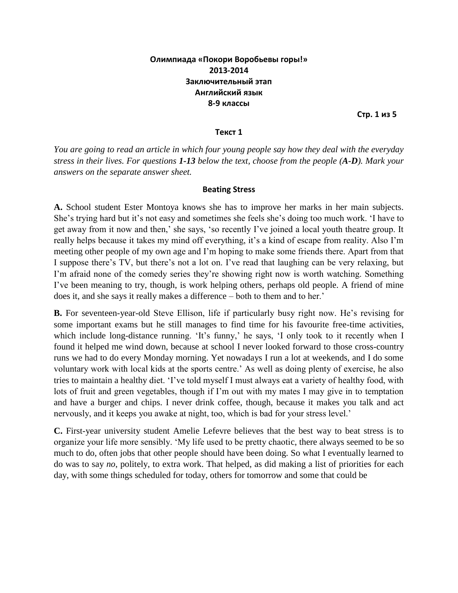# **Олимпиада «Покори Воробьевы горы!» 2013-2014 Заключительный этап Английский язык 8-9 классы**

**Стр. 1 из 5**

#### **Текст 1**

*You are going to read an article in which four young people say how they deal with the everyday stress in their lives. For questions 1-13 below the text, choose from the people (A-D). Mark your answers on the separate answer sheet.*

#### **Beating Stress**

**A.** School student Ester Montoya knows she has to improve her marks in her main subjects. She's trying hard but it's not easy and sometimes she feels she's doing too much work. 'I have to get away from it now and then,' she says, 'so recently I've joined a local youth theatre group. It really helps because it takes my mind off everything, it's a kind of escape from reality. Also I'm meeting other people of my own age and I'm hoping to make some friends there. Apart from that I suppose there's TV, but there's not a lot on. I've read that laughing can be very relaxing, but I'm afraid none of the comedy series they're showing right now is worth watching. Something I've been meaning to try, though, is work helping others, perhaps old people. A friend of mine does it, and she says it really makes a difference – both to them and to her.'

**B.** For seventeen-year-old Steve Ellison, life if particularly busy right now. He's revising for some important exams but he still manages to find time for his favourite free-time activities, which include long-distance running. 'It's funny,' he says, 'I only took to it recently when I found it helped me wind down, because at school I never looked forward to those cross-country runs we had to do every Monday morning. Yet nowadays I run a lot at weekends, and I do some voluntary work with local kids at the sports centre.' As well as doing plenty of exercise, he also tries to maintain a healthy diet. 'I've told myself I must always eat a variety of healthy food, with lots of fruit and green vegetables, though if I'm out with my mates I may give in to temptation and have a burger and chips. I never drink coffee, though, because it makes you talk and act nervously, and it keeps you awake at night, too, which is bad for your stress level.'

**C.** First-year university student Amelie Lefevre believes that the best way to beat stress is to organize your life more sensibly. 'My life used to be pretty chaotic, there always seemed to be so much to do, often jobs that other people should have been doing. So what I eventually learned to do was to say *no*, politely, to extra work. That helped, as did making a list of priorities for each day, with some things scheduled for today, others for tomorrow and some that could be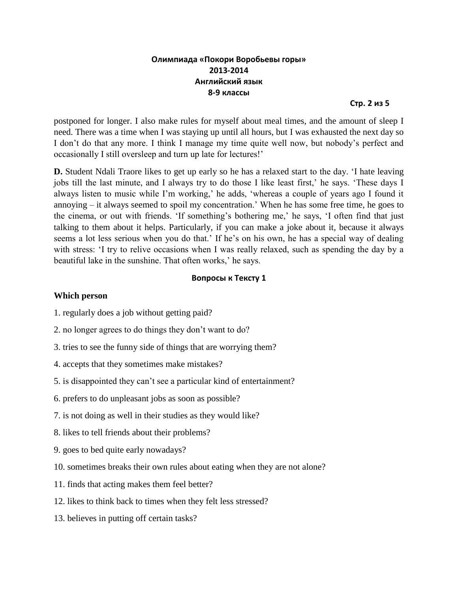# **Олимпиада «Покори Воробьевы горы» 2013-2014 Английский язык 8-9 классы**

**Стр. 2 из 5**

postponed for longer. I also make rules for myself about meal times, and the amount of sleep I need. There was a time when I was staying up until all hours, but I was exhausted the next day so I don't do that any more. I think I manage my time quite well now, but nobody's perfect and occasionally I still oversleep and turn up late for lectures!'

**D.** Student Ndali Traore likes to get up early so he has a relaxed start to the day. 'I hate leaving jobs till the last minute, and I always try to do those I like least first,' he says. 'These days I always listen to music while I'm working,' he adds, 'whereas a couple of years ago I found it annoying – it always seemed to spoil my concentration.' When he has some free time, he goes to the cinema, or out with friends. 'If something's bothering me,' he says, 'I often find that just talking to them about it helps. Particularly, if you can make a joke about it, because it always seems a lot less serious when you do that.' If he's on his own, he has a special way of dealing with stress: 'I try to relive occasions when I was really relaxed, such as spending the day by a beautiful lake in the sunshine. That often works,' he says.

## **Вопросы к Тексту 1**

### **Which person**

- 1. regularly does a job without getting paid?
- 2. no longer agrees to do things they don't want to do?
- 3. tries to see the funny side of things that are worrying them?
- 4. accepts that they sometimes make mistakes?
- 5. is disappointed they can't see a particular kind of entertainment?
- 6. prefers to do unpleasant jobs as soon as possible?
- 7. is not doing as well in their studies as they would like?
- 8. likes to tell friends about their problems?
- 9. goes to bed quite early nowadays?
- 10. sometimes breaks their own rules about eating when they are not alone?
- 11. finds that acting makes them feel better?
- 12. likes to think back to times when they felt less stressed?
- 13. believes in putting off certain tasks?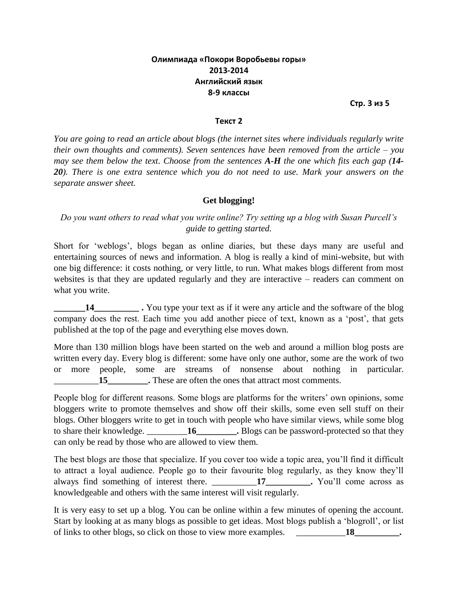# **Олимпиада «Покори Воробьевы горы» 2013-2014 Английский язык 8-9 классы**

**Стр. 3 из 5**

#### **Текст 2**

*You are going to read an article about blogs (the internet sites where individuals regularly write their own thoughts and comments). Seven sentences have been removed from the article – you may see them below the text. Choose from the sentences A-H the one which fits each gap (14- 20). There is one extra sentence which you do not need to use. Mark your answers on the separate answer sheet.*

## **Get blogging!**

*Do you want others to read what you write online? Try setting up a blog with Susan Purcell's guide to getting started.*

Short for 'weblogs', blogs began as online diaries, but these days many are useful and entertaining sources of news and information. A blog is really a kind of mini-website, but with one big difference: it costs nothing, or very little, to run. What makes blogs different from most websites is that they are updated regularly and they are interactive – readers can comment on what you write.

**\_\_\_\_\_\_\_14\_\_\_\_\_\_\_\_\_\_ .** You type your text as if it were any article and the software of the blog company does the rest. Each time you add another piece of text, known as a 'post', that gets published at the top of the page and everything else moves down.

More than 130 million blogs have been started on the web and around a million blog posts are written every day. Every blog is different: some have only one author, some are the work of two or more people, some are streams of nonsense about nothing in particular. \_\_\_\_\_\_\_\_\_\_**15\_\_\_\_\_\_\_\_\_.** These are often the ones that attract most comments.

People blog for different reasons. Some blogs are platforms for the writers' own opinions, some bloggers write to promote themselves and show off their skills, some even sell stuff on their blogs. Other bloggers write to get in touch with people who have similar views, while some blog to share their knowledge. \_\_\_\_\_\_\_\_\_**16\_\_\_\_\_\_\_\_\_.** Blogs can be password-protected so that they can only be read by those who are allowed to view them.

The best blogs are those that specialize. If you cover too wide a topic area, you'll find it difficult to attract a loyal audience. People go to their favourite blog regularly, as they know they'll always find something of interest there. \_\_\_\_\_\_\_\_\_\_**17\_\_\_\_\_\_\_\_\_\_.** You'll come across as knowledgeable and others with the same interest will visit regularly.

It is very easy to set up a blog. You can be online within a few minutes of opening the account. Start by looking at as many blogs as possible to get ideas. Most blogs publish a 'blogroll', or list of links to other blogs, so click on those to view more examples. **18**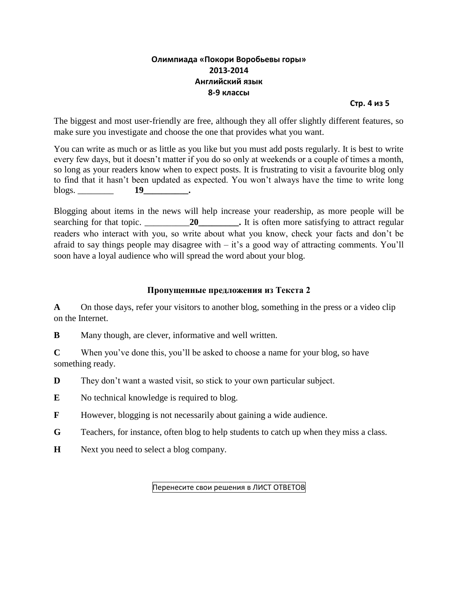# **Олимпиада «Покори Воробьевы горы» 2013-2014 Английский язык 8-9 классы**

**Стр. 4 из 5**

The biggest and most user-friendly are free, although they all offer slightly different features, so make sure you investigate and choose the one that provides what you want.

You can write as much or as little as you like but you must add posts regularly. It is best to write every few days, but it doesn't matter if you do so only at weekends or a couple of times a month, so long as your readers know when to expect posts. It is frustrating to visit a favourite blog only to find that it hasn't been updated as expected. You won't always have the time to write long blogs. **19** .

Blogging about items in the news will help increase your readership, as more people will be searching for that topic. \_\_\_\_\_\_\_\_\_\_\_\_\_\_\_\_\_\_\_\_\_\_\_\_\_\_\_\_\_\_\_\_\_. It is often more satisfying to attract regular readers who interact with you, so write about what you know, check your facts and don't be afraid to say things people may disagree with  $-$  it's a good way of attracting comments. You'll soon have a loyal audience who will spread the word about your blog.

## **Пропущенные предложения из Текста 2**

**A** On those days, refer your visitors to another blog, something in the press or a video clip on the Internet.

**B** Many though, are clever, informative and well written.

**C** When you've done this, you'll be asked to choose a name for your blog, so have something ready.

**D** They don't want a wasted visit, so stick to your own particular subject.

**E** No technical knowledge is required to blog.

**F** However, blogging is not necessarily about gaining a wide audience.

**G** Teachers, for instance, often blog to help students to catch up when they miss a class.

**H** Next you need to select a blog company.

Перенесите свои решения в ЛИСТ ОТВЕТОВ